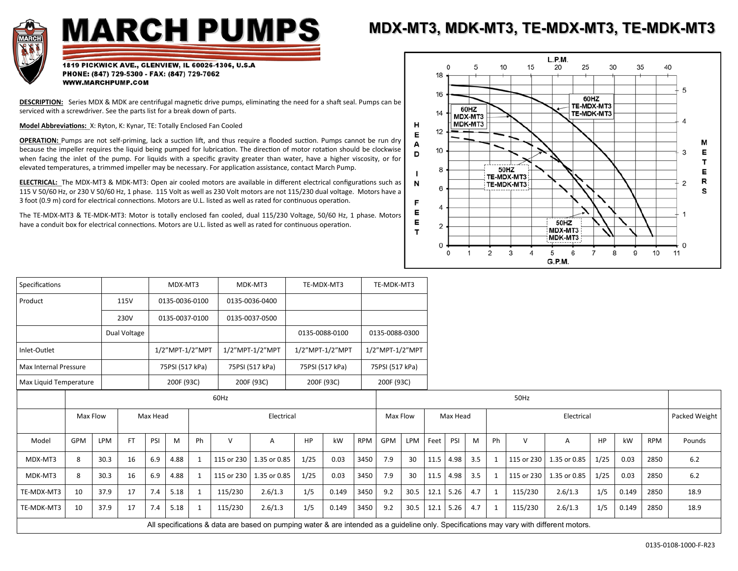

## **MARCH PUMPS**

## **MDX-MT3, MDK-MT3, TE-MDX-MT3, TE-MDK-MT3**

1819 PICKWICK AVE., GLENVIEW, IL 60026-1306, U.S.A PHONE: (847) 729-5300 - FAX: (847) 729-7062 WWW.MARCHPUMP.COM

**DESCRIPTION:** Series MDX & MDK are centrifugal magnetic drive pumps, eliminating the need for a shaft seal. Pumps can be serviced with a screwdriver. See the parts list for a break down of parts.

**Model Abbreviations:** X: Ryton, K: Kynar, TE: Totally Enclosed Fan Cooled

**OPERATION:** Pumps are not self-priming, lack a suction lift, and thus require a flooded suction. Pumps cannot be run dry because the impeller requires the liquid being pumped for lubrication. The direction of motor rotation should be clockwise when facing the inlet of the pump. For liquids with a specific gravity greater than water, have a higher viscosity, or for elevated temperatures, a trimmed impeller may be necessary. For application assistance, contact March Pump.

**ELECTRICAL:** The MDX-MT3 & MDK-MT3: Open air cooled motors are available in different electrical configurations such as 115 V 50/60 Hz, or 230 V 50/60 Hz, 1 phase. 115 Volt as well as 230 Volt motors are not 115/230 dual voltage. Motors have a 3 foot (0.9 m) cord for electrical connections. Motors are U.L. listed as well as rated for continuous operation.

The TE-MDX-MT3 & TE-MDK-MT3: Motor is totally enclosed fan cooled, dual 115/230 Voltage, 50/60 Hz, 1 phase. Motors have a conduit box for electrical connections. Motors are U.L. listed as well as rated for continuous operation.



| Specifications         |                                                                                                                                         |            |                        | MDX-MT3  |      |                 | MDK-MT3         |                         | TE-MDX-MT3      |       | TE-MDK-MT3 |                 |      |          |             |     |                             |            |              |           |       |            |        |
|------------------------|-----------------------------------------------------------------------------------------------------------------------------------------|------------|------------------------|----------|------|-----------------|-----------------|-------------------------|-----------------|-------|------------|-----------------|------|----------|-------------|-----|-----------------------------|------------|--------------|-----------|-------|------------|--------|
| Product                |                                                                                                                                         |            | 115V<br>0135-0036-0100 |          |      | 0135-0036-0400  |                 |                         |                 |       |            |                 |      |          |             |     |                             |            |              |           |       |            |        |
|                        |                                                                                                                                         |            | 230V<br>0135-0037-0100 |          |      |                 | 0135-0037-0500  |                         |                 |       |            |                 |      |          |             |     |                             |            |              |           |       |            |        |
|                        |                                                                                                                                         |            | Dual Voltage           |          |      |                 |                 |                         | 0135-0088-0100  |       |            | 0135-0088-0300  |      |          |             |     |                             |            |              |           |       |            |        |
| Inlet-Outlet           |                                                                                                                                         |            |                        |          |      | 1/2"MPT-1/2"MPT |                 | 1/2"MPT-1/2"MPT         | 1/2"MPT-1/2"MPT |       |            | 1/2"MPT-1/2"MPT |      |          |             |     |                             |            |              |           |       |            |        |
| Max Internal Pressure  |                                                                                                                                         |            | 75PSI (517 kPa)        |          |      |                 | 75PSI (517 kPa) |                         | 75PSI (517 kPa) |       |            | 75PSI (517 kPa) |      |          |             |     |                             |            |              |           |       |            |        |
| Max Liquid Temperature |                                                                                                                                         |            | 200F (93C)             |          |      |                 |                 | 200F (93C)              | 200F (93C)      |       |            | 200F (93C)      |      |          |             |     |                             |            |              |           |       |            |        |
|                        |                                                                                                                                         |            | 60Hz                   |          |      |                 |                 |                         |                 |       |            | 50Hz            |      |          |             |     |                             |            |              |           |       |            |        |
|                        | Max Flow                                                                                                                                |            |                        | Max Head |      |                 |                 | Electrical              |                 |       |            | Max Flow        |      | Max Head |             |     | Packed Weight<br>Electrical |            |              |           |       |            |        |
| Model                  | GPM                                                                                                                                     | <b>LPM</b> | <b>FT</b>              | PSI      | M    | Ph              | $\vee$          | Α                       | HP              | kW    | <b>RPM</b> | GPM             | LPM  | Feet     | PSI         | M   | Ph                          | V          | Α            | <b>HP</b> | kW    | <b>RPM</b> | Pounds |
| MDX-MT3                | 8                                                                                                                                       | 30.3       | 16                     | 6.9      | 4.88 | $\mathbf{1}$    |                 | 115 or 230 1.35 or 0.85 | 1/25            | 0.03  | 3450       | 7.9             | 30   | 11.5     | 4.98        | 3.5 | 1                           | 115 or 230 | 1.35 or 0.85 | 1/25      | 0.03  | 2850       | $6.2$  |
| MDK-MT3                | 8                                                                                                                                       | 30.3       | 16                     | 6.9      | 4.88 | 1               | 115 or 230      | 1.35 or 0.85            | 1/25            | 0.03  | 3450       | 7.9             | 30   | 11.5     | 4.98        | 3.5 | -1                          | 115 or 230 | 1.35 or 0.85 | 1/25      | 0.03  | 2850       | $6.2$  |
| TE-MDX-MT3             | 10                                                                                                                                      | 37.9       | 17                     | 7.4      | 5.18 | $\mathbf{1}$    | 115/230         | 2.6/1.3                 | 1/5             | 0.149 | 3450       | 9.2             | 30.5 |          | 12.1 5.26   | 4.7 |                             | 115/230    | 2.6/1.3      | 1/5       | 0.149 | 2850       | 18.9   |
| TE-MDK-MT3             | 10                                                                                                                                      | 37.9       | 17                     | 7.4      | 5.18 | $\mathbf{1}$    | 115/230         | 2.6/1.3                 | 1/5             | 0.149 | 3450       | 9.2             | 30.5 |          | $12.1$ 5.26 | 4.7 | $\mathbf{1}$                | 115/230    | 2.6/1.3      | 1/5       | 0.149 | 2850       | 18.9   |
|                        | All specifications & data are based on pumping water & are intended as a guideline only. Specifications may vary with different motors. |            |                        |          |      |                 |                 |                         |                 |       |            |                 |      |          |             |     |                             |            |              |           |       |            |        |